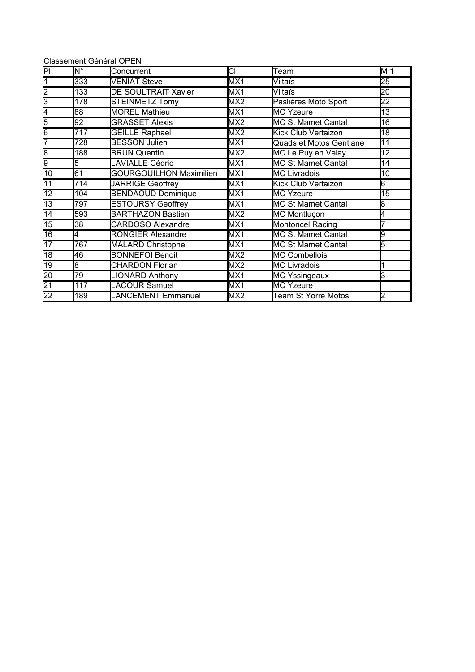| <b>Classement Général OPEN</b> |  |  |
|--------------------------------|--|--|
|--------------------------------|--|--|

| PI              | $N^{\circ}$    | Concurrent                     | CI              | Team                       | M 1             |
|-----------------|----------------|--------------------------------|-----------------|----------------------------|-----------------|
| 1               | 333            | <b>VENIAT Steve</b>            | MX1             | Viltaïs                    | 25              |
| $\overline{2}$  | 133            | <b>DE SOULTRAIT Xavier</b>     | MX1             | Viltaïs                    | $\overline{20}$ |
| 3               | 178            | <b>STEINMETZ Tomy</b>          | MX <sub>2</sub> | Paslières Moto Sport       | $\overline{22}$ |
| 4               | $\overline{8}$ | <b>MOREL Mathieu</b>           | MX1             | <b>MC Yzeure</b>           | 13              |
| 5               | 92             | <b>GRASSET Alexis</b>          | MX <sub>2</sub> | <b>MC St Mamet Cantal</b>  | 16              |
| 6               | 717            | <b>GEILLE Raphael</b>          | MX <sub>2</sub> | Kick Club Vertaizon        | 18              |
| 7               | 728            | <b>BESSON Julien</b>           | MX1             | Quads et Motos Gentiane    | 11              |
| 8               | 188            | <b>BRUN Quentin</b>            | MX <sub>2</sub> | MC Le Puy en Velay         | 12              |
| 9               | 5              | <b>LAVIALLE Cédric</b>         | MX1             | <b>MC St Mamet Cantal</b>  | 14              |
| 10              | 61             | <b>GOURGOUILHON Maximilien</b> | MX1             | <b>MC Livradois</b>        | 10              |
| 11              | 714            | <b>JARRIGE Geoffrey</b>        | MX1             | Kick Club Vertaizon        | 6               |
| 12              | 104            | <b>BENDAOUD Dominique</b>      | MX1             | <b>MC Yzeure</b>           | 15              |
| $\overline{13}$ | 797            | <b>ESTOURSY Geoffrey</b>       | MX1             | <b>MC St Mamet Cantal</b>  | 8               |
| $\overline{14}$ | 593            | <b>BARTHAZON Bastien</b>       | MX <sub>2</sub> | MC Montluçon               | 4               |
| $\overline{15}$ | 38             | <b>CARDOSO Alexandre</b>       | MX1             | <b>Montoncel Racing</b>    |                 |
| 16              | l4             | <b>RONGIER Alexandre</b>       | MX1             | <b>MC St Mamet Cantal</b>  | 9               |
| $\overline{17}$ | 767            | <b>MALARD Christophe</b>       | MX1             | MC St Mamet Cantal         | 5               |
| $\overline{18}$ | 46             | <b>BONNEFOI Benoit</b>         | MX <sub>2</sub> | <b>MC Combellois</b>       |                 |
| $\overline{19}$ | 8              | <b>CHARDON Florian</b>         | MX <sub>2</sub> | <b>MC Livradois</b>        |                 |
| $\overline{20}$ | 79             | <b>LIONARD Anthony</b>         | MX1             | <b>MC Yssingeaux</b>       | 3               |
| $\overline{21}$ | 117            | <b>LACOUR Samuel</b>           | MX1             | <b>MC Yzeure</b>           |                 |
| $\overline{22}$ | 189            | LANCEMENT Emmanuel             | MX <sub>2</sub> | <b>Team St Yorre Motos</b> | 2               |